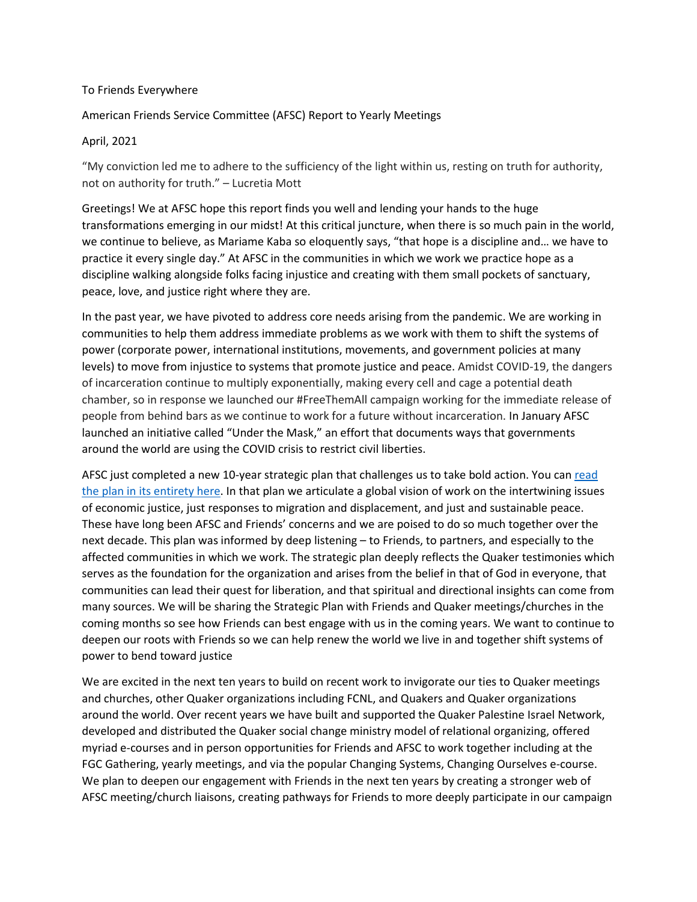## To Friends Everywhere

## American Friends Service Committee (AFSC) Report to Yearly Meetings

## April, 2021

"My conviction led me to adhere to the sufficiency of the light within us, resting on truth for authority, not on authority for truth." – Lucretia Mott

Greetings! We at AFSC hope this report finds you well and lending your hands to the huge transformations emerging in our midst! At this critical juncture, when there is so much pain in the world, we continue to believe, as Mariame Kaba so eloquently says, "that hope is a discipline and… we have to practice it every single day." At AFSC in the communities in which we work we practice hope as a discipline walking alongside folks facing injustice and creating with them small pockets of sanctuary, peace, love, and justice right where they are.

In the past year, we have pivoted to address core needs arising from the pandemic. We are working in communities to help them address immediate problems as we work with them to shift the systems of power (corporate power, international institutions, movements, and government policies at many levels) to move from injustice to systems that promote justice and peace. Amidst COVID-19, the dangers of incarceration continue to multiply exponentially, making every cell and cage a potential death chamber, so in response we launched our #FreeThemAll campaign working for the immediate release of people from behind bars as we continue to work for a future without incarceration. In January AFSC launched an initiative called "Under the Mask," an effort that documents ways that governments around the world are using the COVID crisis to restrict civil liberties.

AFSC just completed a new 10-year strategic plan that challenges us to take bold action. You ca[n read](http://www.afsc.org/strategicplan)  the plan in [its entirety here.](http://www.afsc.org/strategicplan) In that plan we articulate a global vision of work on the intertwining issues of economic justice, just responses to migration and displacement, and just and sustainable peace. These have long been AFSC and Friends' concerns and we are poised to do so much together over the next decade. This plan was informed by deep listening – to Friends, to partners, and especially to the affected communities in which we work. The strategic plan deeply reflects the Quaker testimonies which serves as the foundation for the organization and arises from the belief in that of God in everyone, that communities can lead their quest for liberation, and that spiritual and directional insights can come from many sources. We will be sharing the Strategic Plan with Friends and Quaker meetings/churches in the coming months so see how Friends can best engage with us in the coming years. We want to continue to deepen our roots with Friends so we can help renew the world we live in and together shift systems of power to bend toward justice

We are excited in the next ten years to build on recent work to invigorate our ties to Quaker meetings and churches, other Quaker organizations including FCNL, and Quakers and Quaker organizations around the world. Over recent years we have built and supported the Quaker Palestine Israel Network, developed and distributed the Quaker social change ministry model of relational organizing, offered myriad e-courses and in person opportunities for Friends and AFSC to work together including at the FGC Gathering, yearly meetings, and via the popular Changing Systems, Changing Ourselves e-course. We plan to deepen our engagement with Friends in the next ten years by creating a stronger web of AFSC meeting/church liaisons, creating pathways for Friends to more deeply participate in our campaign